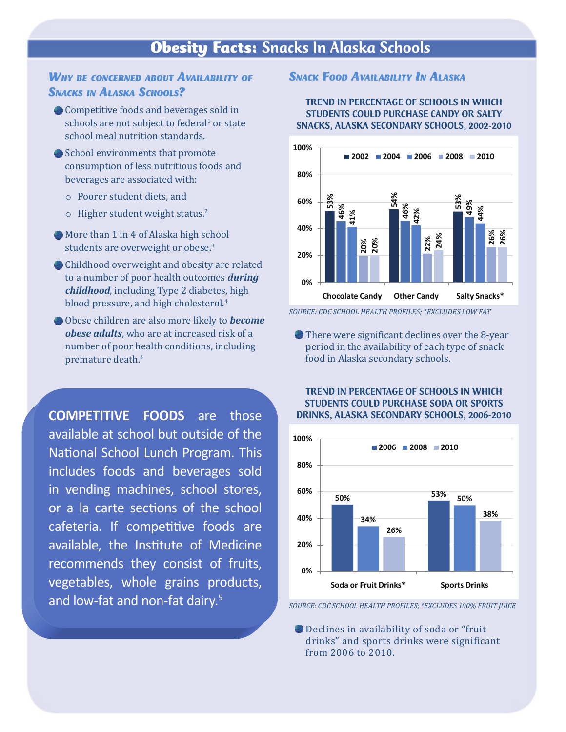# Obesity Facts: Snacks In Alaska Schools

#### *Why be concerned about availability of* **SNACKS IN ALASKA SCHOOLS?**

- Competitive foods and beverages sold in schools are not subject to federal<sup>1</sup> or state school meal nutrition standards.
- School environments that promote consumption of less nutritious foods and beverages are associated with:
	- o Poorer student diets, and
	- o Higher student weight status.<sup>2</sup>
- More than 1 in 4 of Alaska high school students are overweight or obese.<sup>3</sup>
- Childhood overweight and obesity are related to a number of poor health outcomes *during childhood*, including Type 2 diabetes, high blood pressure, and high cholesterol.<sup>4</sup>
- Obese children are also more likely to *become obese adults*, who are at increased risk of a number of poor health conditions, including premature death.4

**COMPETITIVE FOODS** are those available at school but outside of the National School Lunch Program. This includes foods and beverages sold in vending machines, school stores, or a la carte sections of the school cafeteria. If competitive foods are available, the Institute of Medicine recommends they consist of fruits, vegetables, whole grains products, and low-fat and non-fat dairy.<sup>5</sup>

#### *SNACK FOOD AVAILABILITY IN ALASKA*

#### TREND IN PERCENTAGE OF SCHOOLS IN WHICH STUDENTS COULD PURCHASE CANDY OR SALTY SNACKS, ALASKA SECONDARY SCHOOLS, 2002-2010



*SOURCE: CDC SCHOOL HEALTH PROFILES; \*EXCLUDES LOW FAT*

There were significant declines over the 8-year period in the availability of each type of snack food in Alaska secondary schools.

#### TREND IN PERCENTAGE OF SCHOOLS IN WHICH STUDENTS COULD PURCHASE SODA OR SPORTS DRINKS, ALASKA SECONDARY SCHOOLS, 2006-2010



*SOURCE: CDC SCHOOL HEALTH PROFILES; \*EXCLUDES 100% FRUIT JUICE*

Declines in availability of soda or "fruit d r inks" and sports drinks were significant fr om 2006 t o 2010.